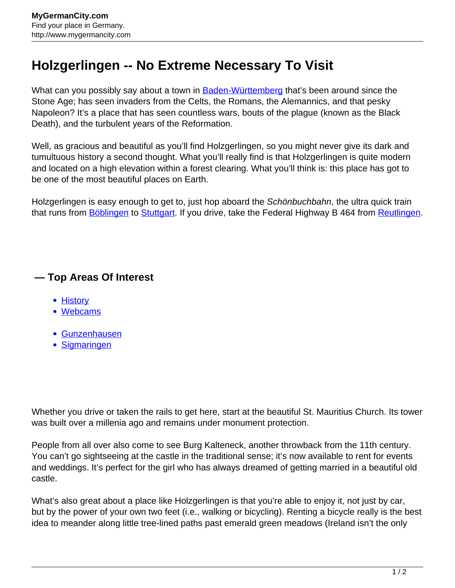## **Holzgerlingen -- No Extreme Necessary To Visit**

What can you possibly say about a town in **Baden-Württemberg** that's been around since the Stone Age; has seen invaders from the Celts, the Romans, the Alemannics, and that pesky Napoleon? It's a place that has seen countless wars, bouts of the plague (known as the Black Death), and the turbulent years of the Reformation.

Well, as gracious and beautiful as you'll find Holzgerlingen, so you might never give its dark and tumultuous history a second thought. What you'll really find is that Holzgerlingen is quite modern and located on a high elevation within a forest clearing. What you'll think is: this place has got to be one of the most beautiful places on Earth.

Holzgerlingen is easy enough to get to, just hop aboard the Schönbuchbahn, the ultra quick train that runs from **[Böblingen](http://www.mygermancity.com/boeblingen) to [Stuttgart](http://www.mygermancity.com/stuttgart)**. If you drive, take the Federal Highway B 464 from [Reutlingen](http://www.mygermancity.com/reutlingen).

## **— Top Areas Of Interest**

- [History](http://www.mygermancity.com/leipzig-history)
- [Webcams](http://www.mygermancity.com/neustadt-holstein-webcams)
- [Gunzenhausen](http://www.mygermancity.com/gunzenhausen)
- [Sigmaringen](http://www.mygermancity.com/sigmaringen)

Whether you drive or taken the rails to get here, start at the beautiful St. Mauritius Church. Its tower was built over a millenia ago and remains under monument protection.

People from all over also come to see Burg Kalteneck, another throwback from the 11th century. You can't go sightseeing at the castle in the traditional sense; it's now available to rent for events and weddings. It's perfect for the girl who has always dreamed of getting married in a beautiful old castle.

What's also great about a place like Holzgerlingen is that you're able to enjoy it, not just by car, but by the power of your own two feet (i.e., walking or bicycling). Renting a bicycle really is the best idea to meander along little tree-lined paths past emerald green meadows (Ireland isn't the only